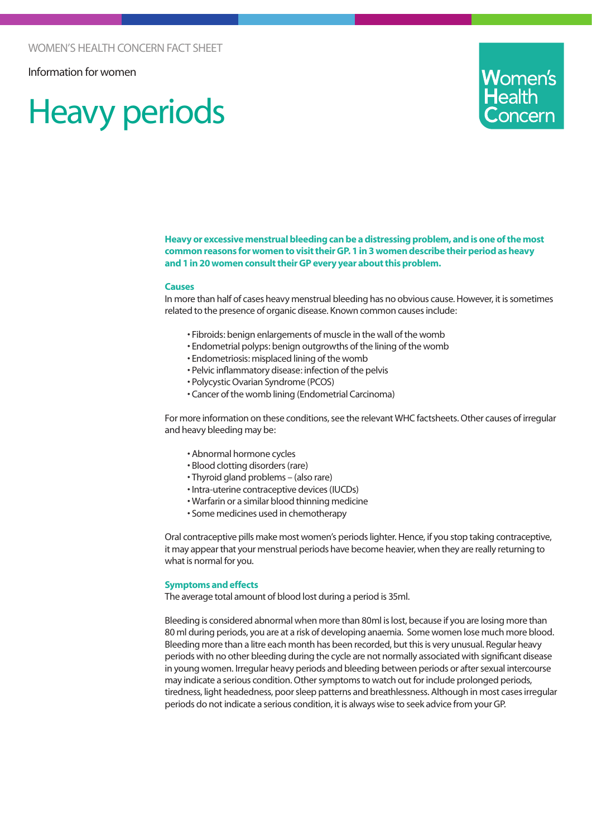Information for women

# Heavy periods



**Heavy or excessive menstrual bleeding can be a distressing problem, and is one of the most common reasons for women to visit their GP. 1 in 3 women describe their period as heavy and 1 in 20 women consult their GP every year about this problem.**

#### **Causes**

In more than half of cases heavy menstrual bleeding has no obvious cause. However, it is sometimes related to the presence of organic disease. Known common causes include:

- Fibroids: benign enlargements of muscle in the wall of the womb
- Endometrial polyps: benign outgrowths of the lining of the womb
- Endometriosis: misplaced lining of the womb
- Pelvic inflammatory disease: infection of the pelvis
- Polycystic Ovarian Syndrome (PCOS)
- Cancer of the womb lining (Endometrial Carcinoma)

For more information on these conditions, see the relevant WHC factsheets. Other causes of irregular and heavy bleeding may be:

- Abnormal hormone cycles
- Blood clotting disorders (rare)
- Thyroid gland problems (also rare)
- Intra-uterine contraceptive devices (IUCDs)
- Warfarin or a similar blood thinning medicine
- Some medicines used in chemotherapy

Oral contraceptive pills make most women's periods lighter. Hence, if you stop taking contraceptive, it may appear that your menstrual periods have become heavier, when they are really returning to what is normal for you.

#### **Symptoms and effects**

The average total amount of blood lost during a period is 35ml.

Bleeding is considered abnormal when more than 80ml is lost, because if you are losing more than 80 ml during periods, you are at a risk of developing anaemia. Some women lose much more blood. Bleeding more than a litre each month has been recorded, but this is very unusual. Regular heavy periods with no other bleeding during the cycle are not normally associated with significant disease in young women. Irregular heavy periods and bleeding between periods or after sexual intercourse may indicate a serious condition. Other symptoms to watch out for include prolonged periods, tiredness, light headedness, poor sleep patterns and breathlessness. Although in most cases irregular periods do not indicate a serious condition, it is always wise to seek advice from your GP.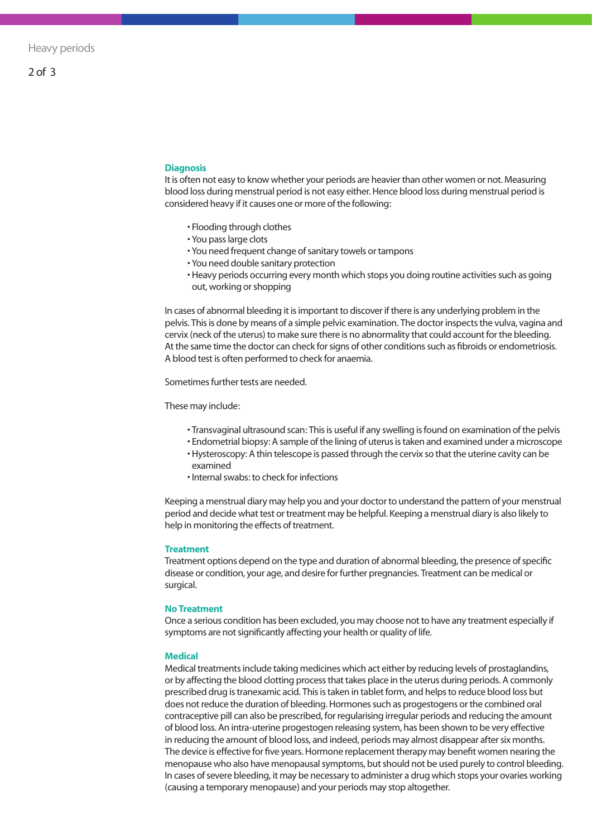#### **Diagnosis**

It is often not easy to know whether your periods are heavier than other women or not. Measuring blood loss during menstrual period is not easy either. Hence blood loss during menstrual period is considered heavy if it causes one or more of the following:

- Flooding through clothes
- You pass large clots
- You need frequent change of sanitary towels or tampons
- You need double sanitary protection
- Heavy periods occurring every month which stops you doing routine activities such as going out, working or shopping

In cases of abnormal bleeding it is important to discover if there is any underlying problem in the pelvis. This is done by means of a simple pelvic examination. The doctor inspects the vulva, vagina and cervix (neck of the uterus) to make sure there is no abnormality that could account for the bleeding. At the same time the doctor can check for signs of other conditions such as fibroids or endometriosis. A blood test is often performed to check for anaemia.

Sometimes further tests are needed.

These may include:

- Transvaginal ultrasound scan: This is useful if any swelling is found on examination of the pelvis
- Endometrial biopsy: A sample of the lining of uterus is taken and examined under a microscope
- Hysteroscopy: A thin telescope is passed through the cervix so that the uterine cavity can be examined
- Internal swabs: to check for infections

Keeping a menstrual diary may help you and your doctor to understand the pattern of your menstrual period and decide what test or treatment may be helpful. Keeping a menstrual diary is also likely to help in monitoring the effects of treatment.

#### **Treatment**

Treatment options depend on the type and duration of abnormal bleeding, the presence of specific disease or condition, your age, and desire for further pregnancies. Treatment can be medical or surgical.

#### **No Treatment**

Once a serious condition has been excluded, you may choose not to have any treatment especially if symptoms are not significantly affecting your health or quality of life.

#### **Medical**

Medical treatments include taking medicines which act either by reducing levels of prostaglandins, or by affecting the blood clotting process that takes place in the uterus during periods. A commonly prescribed drug is tranexamic acid. This is taken in tablet form, and helps to reduce blood loss but does not reduce the duration of bleeding. Hormones such as progestogens or the combined oral contraceptive pill can also be prescribed, for regularising irregular periods and reducing the amount of blood loss. An intra-uterine progestogen releasing system, has been shown to be very effective in reducing the amount of blood loss, and indeed, periods may almost disappear after six months. The device is effective for five years. Hormone replacement therapy may benefit women nearing the menopause who also have menopausal symptoms, but should not be used purely to control bleeding. In cases of severe bleeding, it may be necessary to administer a drug which stops your ovaries working (causing a temporary menopause) and your periods may stop altogether.